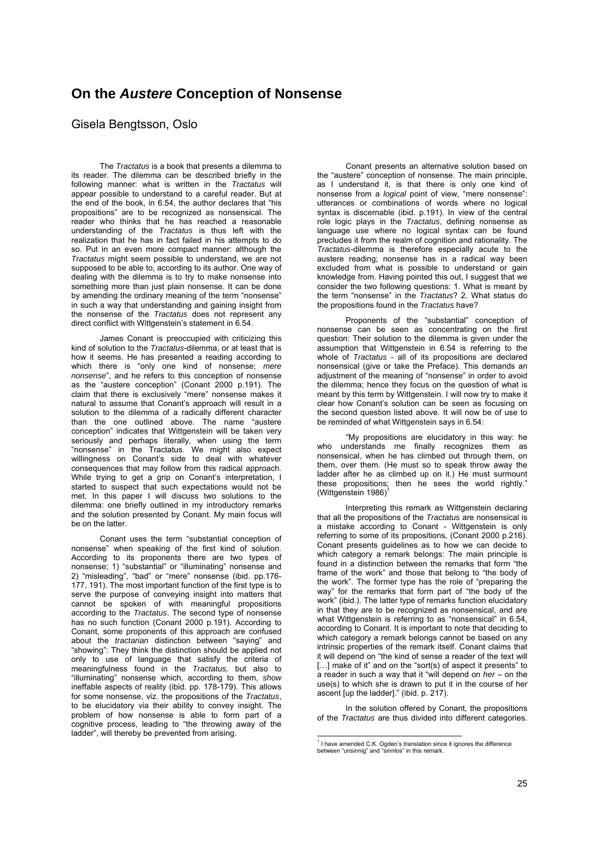## **On the** *Austere* **Conception of Nonsense**

## Gisela Bengtsson, Oslo

The *Tractatus* is a book that presents a dilemma to its reader. The dilemma can be described briefly in the following manner: what is written in the *Tractatus* will appear possible to understand to a careful reader. But at the end of the book, in 6.54, the author declares that "his propositions" are to be recognized as nonsensical. The reader who thinks that he has reached a reasonable understanding of the *Tractatus* is thus left with the realization that he has in fact failed in his attempts to do so. Put in an even more compact manner: although the *Tractatus* might seem possible to understand, we are not supposed to be able to, according to its author. One way of dealing with the dilemma is to try to make nonsense into something more than just plain nonsense. It can be done by amending the ordinary meaning of the term "nonsense" in such a way that understanding and gaining insight from the nonsense of the *Tractatus* does not represent any direct conflict with Wittgenstein's statement in 6.54.

James Conant is preoccupied with criticizing this kind of solution to the *Tractatus*-dilemma, or at least that is how it seems. He has presented a reading according to which there is "only one kind of nonsense; *mere nonsense*", and he refers to this conception of nonsense as the "austere conception" (Conant 2000 p.191). The claim that there is exclusively "mere" nonsense makes it natural to assume that Conant's approach will result in a solution to the dilemma of a radically different character than the one outlined above. The name "austere conception" indicates that Wittgenstein will be taken very seriously and perhaps literally, when using the term "nonsense" in the Tractatus. We might also expect willingness on Conant's side to deal with whatever consequences that may follow from this radical approach. While trying to get a grip on Conant's interpretation, I started to suspect that such expectations would not be met. In this paper I will discuss two solutions to the dilemma: one briefly outlined in my introductory remarks and the solution presented by Conant. My main focus will be on the latter.

Conant uses the term "substantial conception of nonsense" when speaking of the first kind of solution. According to its proponents there are two types of nonsense; 1) "substantial" or "illuminating" nonsense and 2) "misleading", "bad" or "mere" nonsense (ibid. pp.176- 177, 191). The most important function of the first type is to serve the purpose of conveying insight into matters that cannot be spoken of with meaningful propositions according to the *Tractatus*. The second type of nonsense has no such function (Conant 2000 p.191). According to Conant, some proponents of this approach are confused about the *tractarian* distinction between "saying" and "showing": They think the distinction should be applied not only to use of language that satisfy the criteria of meaningfulness found in the *Tractatus,* but also to "illuminating" nonsense which, according to them, *show*  ineffable aspects of reality (ibid. pp. 178-179). This allows for some nonsense, viz. the propositions of the *Tractatus*, to be elucidatory via their ability to convey insight. The problem of how nonsense is able to form part of a cognitive process, leading to "the throwing away of the ladder", will thereby be prevented from arising.

Conant presents an alternative solution based on the "austere" conception of nonsense. The main principle, as I understand it, is that there is only one kind of nonsense from a *logical* point of view, "mere nonsense": utterances or combinations of words where no logical syntax is discernable (ibid. p.191). In view of the central role logic plays in the *Tractatus*, defining nonsense as language use where no logical syntax can be found precludes it from the realm of cognition and rationality. The *Tractatus*-dilemma is therefore especially acute to the austere reading; nonsense has in a radical way been excluded from what is possible to understand or gain knowledge from. Having pointed this out, I suggest that we consider the two following questions: 1. What is meant by the term "nonsense" in the *Tractatus*? 2. What status do the propositions found in the *Tractatus* have?

Proponents of the "substantial" conception of nonsense can be seen as concentrating on the first question: Their solution to the dilemma is given under the assumption that Wittgenstein in 6.54 is referring to the whole of *Tractatus* - all of its propositions are declared nonsensical (give or take the Preface). This demands an adjustment of the meaning of "nonsense" in order to avoid the dilemma; hence they focus on the question of what is meant by this term by Wittgenstein. I will now try to make it clear how Conant's solution can be seen as focusing on the second question listed above. It will now be of use to be reminded of what Wittgenstein says in 6.54:

"My propositions are elucidatory in this way: he who understands me finally recognizes them as nonsensical, when he has climbed out through them, on them, over them. (He must so to speak throw away the ladder after he as climbed up on it.) He must surmount these propositions; then he sees the world rightly. (Wittgenstein 1986)

Interpreting this remark as Wittgenstein declaring that all the propositions of the *Tractatus* are nonsensical is a mistake according to Conant - Wittgenstein is only referring to some of its propositions, (Conant 2000 p.216). Conant presents guidelines as to how we can decide to which category a remark belongs: The main principle is found in a distinction between the remarks that form "the frame of the work" and those that belong to "the body of the work". The former type has the role of "preparing the way" for the remarks that form part of "the body of the work" (ibid.). The latter type of remarks function elucidatory in that they are to be recognized as nonsensical, and are what Wittgenstein is referring to as "nonsensical" in 6.54, according to Conant. It is important to note that deciding to which category a remark belongs cannot be based on any intrinsic properties of the remark itself. Conant claims that it will depend on "the kind of sense a reader of the text will [...] make of it" and on the "sort(s) of aspect it presents" to a reader in such a way that it "will depend on *her* – on the use(s) to which she is drawn to put it in the course of her ascent [up the ladder]." (ibid. p. 217).

In the solution offered by Conant, the propositions of the *Tractatus* are thus divided into different categories.

 1 I have amended C.K. Ogden's translation since it ignores the difference between "unsinnig" and "sinnlos" in this remark.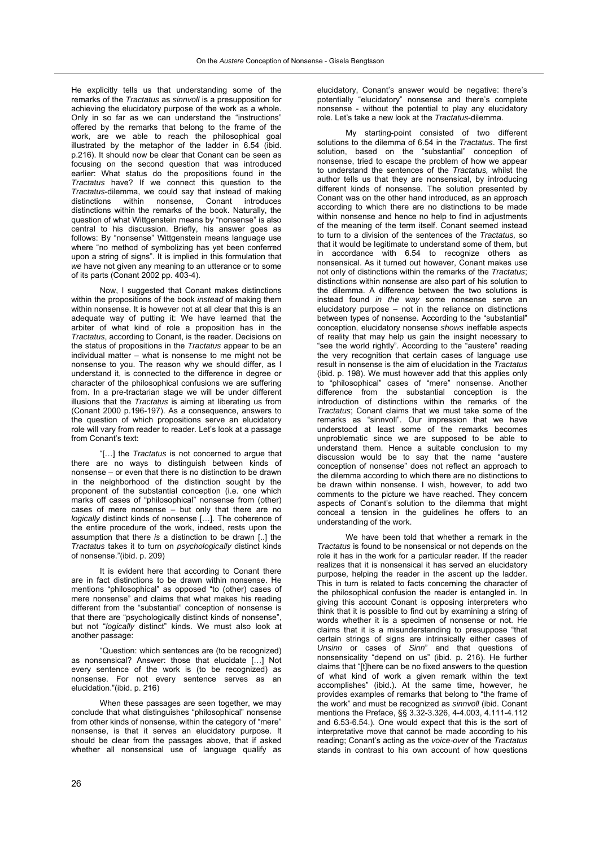He explicitly tells us that understanding some of the remarks of the *Tractatus* as *sinnvoll* is a presupposition for achieving the elucidatory purpose of the work as a whole. Only in so far as we can understand the "instructions" offered by the remarks that belong to the frame of the work, are we able to reach the philosophical goal illustrated by the metaphor of the ladder in 6.54 (ibid. p.216). It should now be clear that Conant can be seen as focusing on the second question that was introduced earlier: What status do the propositions found in the *Tractatus* have? If we connect this question to the *Tractatus*-dilemma, we could say that instead of making distinctions within nonsense, Conant introduces distinctions within the remarks of the book. Naturally, the question of what Wittgenstein means by "nonsense" is also central to his discussion. Briefly, his answer goes as follows: By "nonsense" Wittgenstein means language use where "no method of symbolizing has yet been conferred upon a string of signs". It is implied in this formulation that *we* have not given any meaning to an utterance or to some of its parts (Conant 2002 pp. 403-4).

Now, I suggested that Conant makes distinctions within the propositions of the book *instead* of making them within nonsense. It is however not at all clear that this is an adequate way of putting it: We have learned that the arbiter of what kind of role a proposition has in the *Tractatus*, according to Conant, is the reader. Decisions on the status of propositions in the *Tractatus* appear to be an individual matter – what is nonsense to me might not be nonsense to you. The reason why we should differ, as I understand it, is connected to the difference in degree or character of the philosophical confusions we are suffering from. In a pre-tractarian stage we will be under different illusions that the *Tractatus* is aiming at liberating us from (Conant 2000 p.196-197). As a consequence, answers to the question of which propositions serve an elucidatory role will vary from reader to reader. Let's look at a passage from Conant's text:

"[…] the *Tractatus* is not concerned to argue that there are no ways to distinguish between kinds of nonsense – or even that there is no distinction to be drawn in the neighborhood of the distinction sought by the proponent of the substantial conception (i.e. one which marks off cases of "philosophical" nonsense from (other) cases of mere nonsense – but only that there are no *logically* distinct kinds of nonsense […]. The coherence of the entire procedure of the work, indeed, rests upon the assumption that there *is* a distinction to be drawn [..] the *Tractatus* takes it to turn on *psychologically* distinct kinds of nonsense."(ibid. p. 209)

It is evident here that according to Conant there are in fact distinctions to be drawn within nonsense. He mentions "philosophical" as opposed "to (other) cases of mere nonsense" and claims that what makes his reading different from the "substantial" conception of nonsense is that there are "psychologically distinct kinds of nonsense", but not "*logically* distinct" kinds. We must also look at another passage:

"Question: which sentences are (to be recognized) as nonsensical? Answer: those that elucidate […] Not every sentence of the work is (to be recognized) as nonsense. For not every sentence serves as an elucidation."(ibid. p. 216)

When these passages are seen together, we may conclude that what distinguishes "philosophical" nonsense from other kinds of nonsense, within the category of "mere" nonsense, is that it serves an elucidatory purpose. It should be clear from the passages above, that if asked whether all nonsensical use of language qualify as

elucidatory, Conant's answer would be negative: there's potentially "elucidatory" nonsense and there's complete nonsense - without the potential to play any elucidatory role. Let's take a new look at the *Tractatus*-dilemma.

My starting-point consisted of two different solutions to the dilemma of 6.54 in the *Tractatus*. The first solution, based on the "substantial" conception of nonsense, tried to escape the problem of how we appear to understand the sentences of the *Tractatus,* whilst the author tells us that they are nonsensical, by introducing different kinds of nonsense. The solution presented by Conant was on the other hand introduced, as an approach according to which there are no distinctions to be made within nonsense and hence no help to find in adjustments of the meaning of the term itself. Conant seemed instead to turn to a division of the sentences of the *Tractatus,* so that it would be legitimate to understand some of them, but in accordance with 6.54 to recognize others as nonsensical. As it turned out however, Conant makes use not only of distinctions within the remarks of the *Tractatus*; distinctions within nonsense are also part of his solution to the dilemma. A difference between the two solutions is instead found *in the way* some nonsense serve an elucidatory purpose  $-$  not in the reliance on distinctions between types of nonsense. According to the "substantial" conception, elucidatory nonsense *shows* ineffable aspects of reality that may help us gain the insight necessary to "see the world rightly". According to the "austere" reading the very recognition that certain cases of language use result in nonsense is the aim of elucidation in the *Tractatus*  (ibid. p. 198). We must however add that this applies only to "philosophical" cases of "mere" nonsense. Another difference from the substantial conception is the introduction of distinctions within the remarks of the *Tractatus*; Conant claims that we must take some of the remarks as "sinnvoll". Our impression that we have understood at least some of the remarks becomes unproblematic since we are supposed to be able to understand them. Hence a suitable conclusion to my discussion would be to say that the name "austere conception of nonsense" does not reflect an approach to the dilemma according to which there are no distinctions to be drawn within nonsense. I wish, however, to add two comments to the picture we have reached. They concern aspects of Conant's solution to the dilemma that might conceal a tension in the guidelines he offers to an understanding of the work.

We have been told that whether a remark in the *Tractatus* is found to be nonsensical or not depends on the role it has in the work for a particular reader. If the reader realizes that it is nonsensical it has served an elucidatory purpose, helping the reader in the ascent up the ladder. This in turn is related to facts concerning the character of the philosophical confusion the reader is entangled in. In giving this account Conant is opposing interpreters who think that it is possible to find out by examining a string of words whether it is a specimen of nonsense or not. He claims that it is a misunderstanding to presuppose "that certain strings of signs are intrinsically either cases of *Unsinn* or cases of *Sinn*" and that questions of nonsensicality "depend on us" (ibid. p. 216). He further claims that "[t]here can be no fixed answers to the question of what kind of work a given remark within the text accomplishes" (ibid.). At the same time, however, he provides examples of remarks that belong to "the frame of the work" and must be recognized as *sinnvoll* (ibid. Conant mentions the Preface, §§ 3.32-3.326, 4-4.003, 4.111-4.112 and 6.53-6.54.). One would expect that this is the sort of interpretative move that cannot be made according to his reading; Conant's acting as the *voice-over* of the *Tractatus* stands in contrast to his own account of how questions